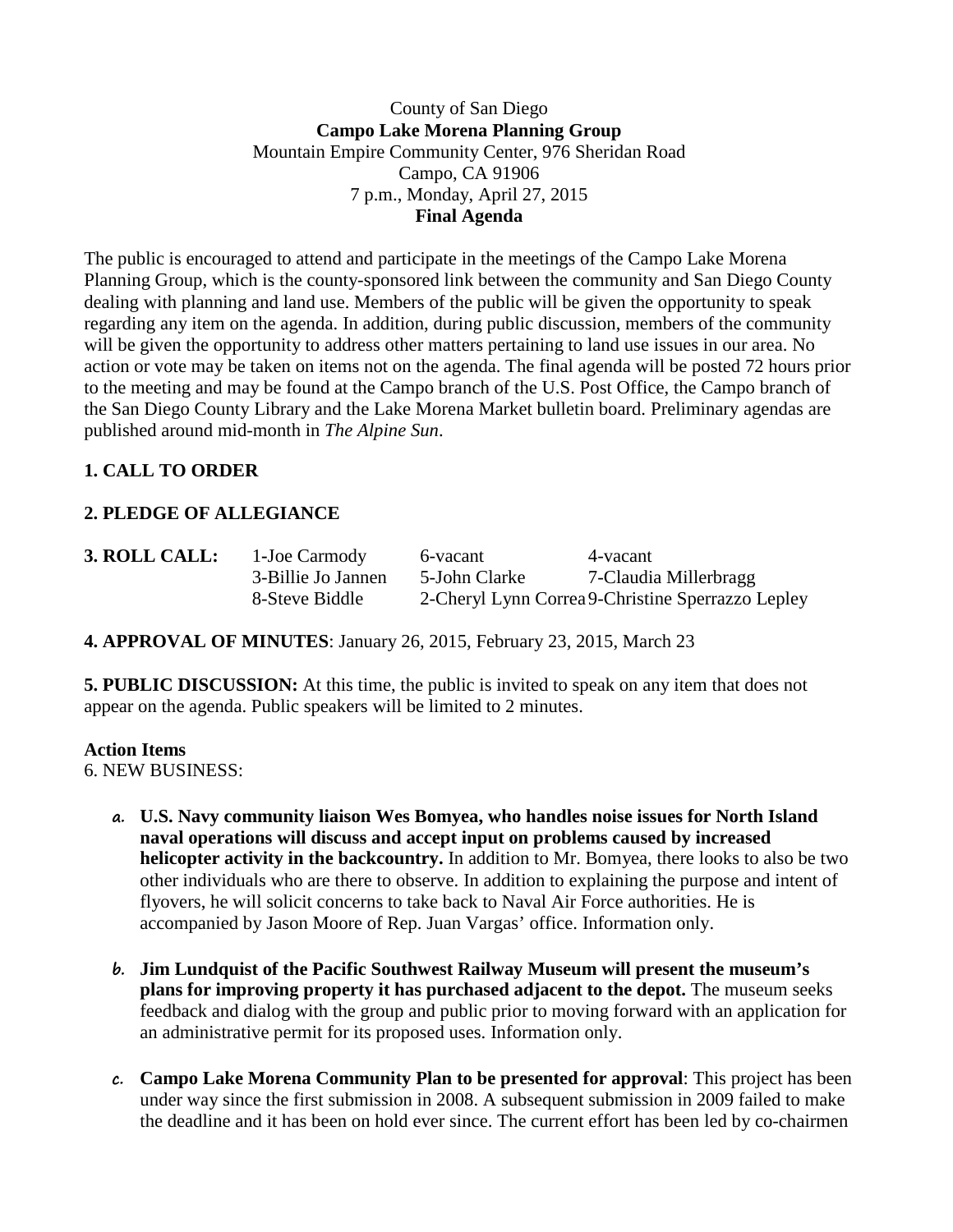### County of San Diego **Campo Lake Morena Planning Group** Mountain Empire Community Center, 976 Sheridan Road Campo, CA 91906 7 p.m., Monday, April 27, 2015 **Final Agenda**

The public is encouraged to attend and participate in the meetings of the Campo Lake Morena Planning Group, which is the county-sponsored link between the community and San Diego County dealing with planning and land use. Members of the public will be given the opportunity to speak regarding any item on the agenda. In addition, during public discussion, members of the community will be given the opportunity to address other matters pertaining to land use issues in our area. No action or vote may be taken on items not on the agenda. The final agenda will be posted 72 hours prior to the meeting and may be found at the Campo branch of the U.S. Post Office, the Campo branch of the San Diego County Library and the Lake Morena Market bulletin board. Preliminary agendas are published around mid-month in *The Alpine Sun*.

# **1. CALL TO ORDER**

# **2. PLEDGE OF ALLEGIANCE**

| 3. ROLL CALL: | 1-Joe Carmody      | 6-yacant      | 4-yacant                                          |
|---------------|--------------------|---------------|---------------------------------------------------|
|               | 3-Billie Jo Jannen | 5-John Clarke | 7-Claudia Millerbragg                             |
|               | 8-Steve Biddle     |               | 2-Cheryl Lynn Correa 9-Christine Sperrazzo Lepley |

### **4. APPROVAL OF MINUTES**: January 26, 2015, February 23, 2015, March 23

**5. PUBLIC DISCUSSION:** At this time, the public is invited to speak on any item that does not appear on the agenda. Public speakers will be limited to 2 minutes.

#### **Action Items**

6. NEW BUSINESS:

- **a. U.S. Navy community liaison Wes Bomyea, who handles noise issues for North Island naval operations will discuss and accept input on problems caused by increased helicopter activity in the backcountry.** In addition to Mr. Bomyea, there looks to also be two other individuals who are there to observe. In addition to explaining the purpose and intent of flyovers, he will solicit concerns to take back to Naval Air Force authorities. He is accompanied by Jason Moore of Rep. Juan Vargas' office. Information only.
- **b. Jim Lundquist of the Pacific Southwest Railway Museum will present the museum's plans for improving property it has purchased adjacent to the depot.** The museum seeks feedback and dialog with the group and public prior to moving forward with an application for an administrative permit for its proposed uses. Information only.
- **c. Campo Lake Morena Community Plan to be presented for approval**: This project has been under way since the first submission in 2008. A subsequent submission in 2009 failed to make the deadline and it has been on hold ever since. The current effort has been led by co-chairmen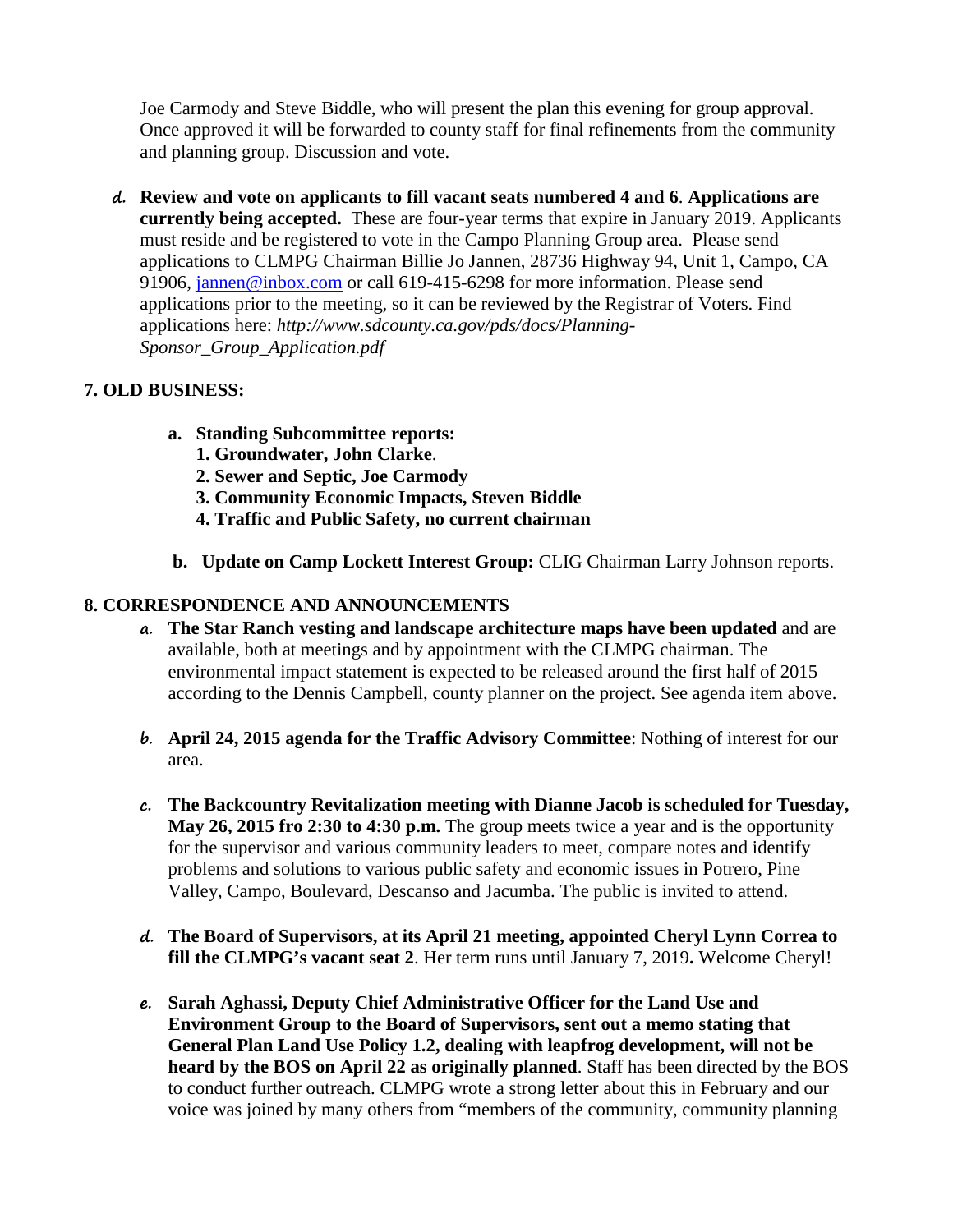Joe Carmody and Steve Biddle, who will present the plan this evening for group approval. Once approved it will be forwarded to county staff for final refinements from the community and planning group. Discussion and vote.

**d. Review and vote on applicants to fill vacant seats numbered 4 and 6**. **Applications are currently being accepted.** These are four-year terms that expire in January 2019. Applicants must reside and be registered to vote in the Campo Planning Group area. Please send applications to CLMPG Chairman Billie Jo Jannen, 28736 Highway 94, Unit 1, Campo, CA 91906, [jannen@inbox.com](mailto:campojoe@yahoo.com) or call 619-415-6298 for more information. Please send applications prior to the meeting, so it can be reviewed by the Registrar of Voters. Find applications here: *http://www.sdcounty.ca.gov/pds/docs/Planning-Sponsor\_Group\_Application.pdf*

# **7. OLD BUSINESS:**

- **a. Standing Subcommittee reports:**
	- **1. Groundwater, John Clarke**.
	- **2. Sewer and Septic, Joe Carmody**
	- **3. Community Economic Impacts, Steven Biddle**
	- **4. Traffic and Public Safety, no current chairman**
- **b. Update on Camp Lockett Interest Group:** CLIG Chairman Larry Johnson reports.

# **8. CORRESPONDENCE AND ANNOUNCEMENTS**

- **a. The Star Ranch vesting and landscape architecture maps have been updated** and are available, both at meetings and by appointment with the CLMPG chairman. The environmental impact statement is expected to be released around the first half of 2015 according to the Dennis Campbell, county planner on the project. See agenda item above.
- **b. April 24, 2015 agenda for the Traffic Advisory Committee**: Nothing of interest for our area.
- **c. The Backcountry Revitalization meeting with Dianne Jacob is scheduled for Tuesday, May 26, 2015 fro 2:30 to 4:30 p.m.** The group meets twice a year and is the opportunity for the supervisor and various community leaders to meet, compare notes and identify problems and solutions to various public safety and economic issues in Potrero, Pine Valley, Campo, Boulevard, Descanso and Jacumba. The public is invited to attend.
- **d. The Board of Supervisors, at its April 21 meeting, appointed Cheryl Lynn Correa to fill the CLMPG's vacant seat 2**. Her term runs until January 7, 2019**.** Welcome Cheryl!
- **e. Sarah Aghassi, Deputy Chief Administrative Officer for the Land Use and Environment Group to the Board of Supervisors, sent out a memo stating that General Plan Land Use Policy 1.2, dealing with leapfrog development, will not be heard by the BOS on April 22 as originally planned**. Staff has been directed by the BOS to conduct further outreach. CLMPG wrote a strong letter about this in February and our voice was joined by many others from "members of the community, community planning